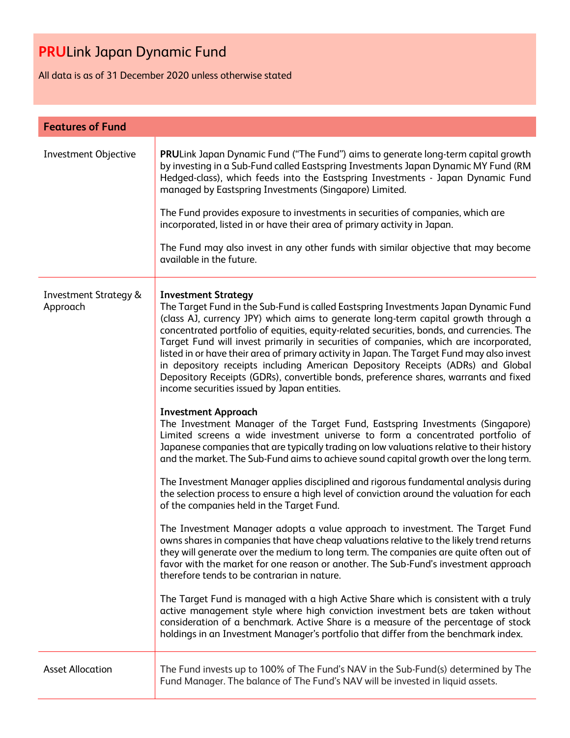All data is as of 31 December 2020 unless otherwise stated

| <b>Features of Fund</b>                      |                                                                                                                                                                                                                                                                                                                                                                                                                                                                                                                                                                                                                                                                                                                       |  |  |
|----------------------------------------------|-----------------------------------------------------------------------------------------------------------------------------------------------------------------------------------------------------------------------------------------------------------------------------------------------------------------------------------------------------------------------------------------------------------------------------------------------------------------------------------------------------------------------------------------------------------------------------------------------------------------------------------------------------------------------------------------------------------------------|--|--|
| <b>Investment Objective</b>                  | PRULink Japan Dynamic Fund ("The Fund") aims to generate long-term capital growth<br>by investing in a Sub-Fund called Eastspring Investments Japan Dynamic MY Fund (RM<br>Hedged-class), which feeds into the Eastspring Investments - Japan Dynamic Fund<br>managed by Eastspring Investments (Singapore) Limited.                                                                                                                                                                                                                                                                                                                                                                                                  |  |  |
|                                              | The Fund provides exposure to investments in securities of companies, which are<br>incorporated, listed in or have their area of primary activity in Japan.                                                                                                                                                                                                                                                                                                                                                                                                                                                                                                                                                           |  |  |
|                                              | The Fund may also invest in any other funds with similar objective that may become<br>available in the future.                                                                                                                                                                                                                                                                                                                                                                                                                                                                                                                                                                                                        |  |  |
| <b>Investment Strategy &amp;</b><br>Approach | <b>Investment Strategy</b><br>The Target Fund in the Sub-Fund is called Eastspring Investments Japan Dynamic Fund<br>(class AJ, currency JPY) which aims to generate long-term capital growth through a<br>concentrated portfolio of equities, equity-related securities, bonds, and currencies. The<br>Target Fund will invest primarily in securities of companies, which are incorporated,<br>listed in or have their area of primary activity in Japan. The Target Fund may also invest<br>in depository receipts including American Depository Receipts (ADRs) and Global<br>Depository Receipts (GDRs), convertible bonds, preference shares, warrants and fixed<br>income securities issued by Japan entities. |  |  |
|                                              | <b>Investment Approach</b><br>The Investment Manager of the Target Fund, Eastspring Investments (Singapore)<br>Limited screens a wide investment universe to form a concentrated portfolio of<br>Japanese companies that are typically trading on low valuations relative to their history<br>and the market. The Sub-Fund aims to achieve sound capital growth over the long term.                                                                                                                                                                                                                                                                                                                                   |  |  |
|                                              | The Investment Manager applies disciplined and rigorous fundamental analysis during<br>the selection process to ensure a high level of conviction around the valuation for each<br>of the companies held in the Target Fund.                                                                                                                                                                                                                                                                                                                                                                                                                                                                                          |  |  |
|                                              | The Investment Manager adopts a value approach to investment. The Target Fund<br>owns shares in companies that have cheap valuations relative to the likely trend returns<br>they will generate over the medium to long term. The companies are quite often out of<br>favor with the market for one reason or another. The Sub-Fund's investment approach<br>therefore tends to be contrarian in nature.                                                                                                                                                                                                                                                                                                              |  |  |
|                                              | The Target Fund is managed with a high Active Share which is consistent with a truly<br>active management style where high conviction investment bets are taken without<br>consideration of a benchmark. Active Share is a measure of the percentage of stock<br>holdings in an Investment Manager's portfolio that differ from the benchmark index.                                                                                                                                                                                                                                                                                                                                                                  |  |  |
| <b>Asset Allocation</b>                      | The Fund invests up to 100% of The Fund's NAV in the Sub-Fund(s) determined by The<br>Fund Manager. The balance of The Fund's NAV will be invested in liquid assets.                                                                                                                                                                                                                                                                                                                                                                                                                                                                                                                                                  |  |  |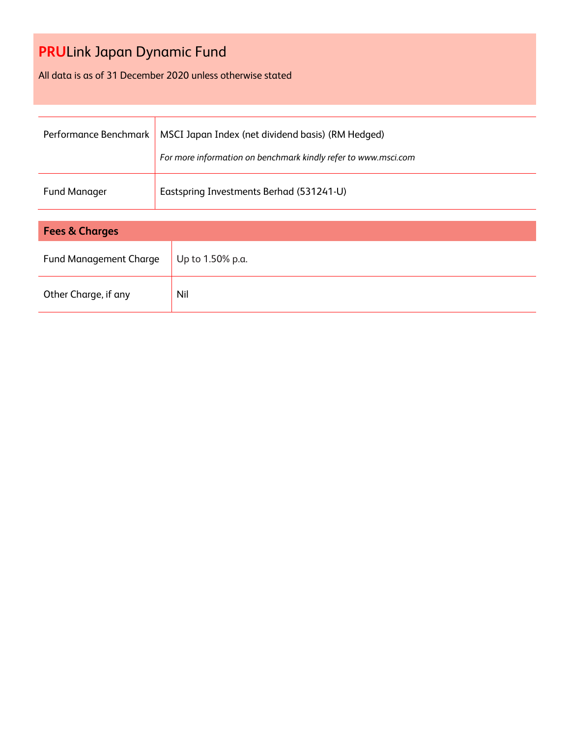All data is as of 31 December 2020 unless otherwise stated

| Performance Benchmark         | MSCI Japan Index (net dividend basis) (RM Hedged)<br>For more information on benchmark kindly refer to www.msci.com |  |  |  |
|-------------------------------|---------------------------------------------------------------------------------------------------------------------|--|--|--|
| <b>Fund Manager</b>           | Eastspring Investments Berhad (531241-U)                                                                            |  |  |  |
|                               |                                                                                                                     |  |  |  |
| <b>Fees &amp; Charges</b>     |                                                                                                                     |  |  |  |
| <b>Fund Management Charge</b> | Up to 1.50% p.a.                                                                                                    |  |  |  |

| Fund Management Charge | Up to 1.50% p.a. |
|------------------------|------------------|
| Other Charge, if any   | Nil              |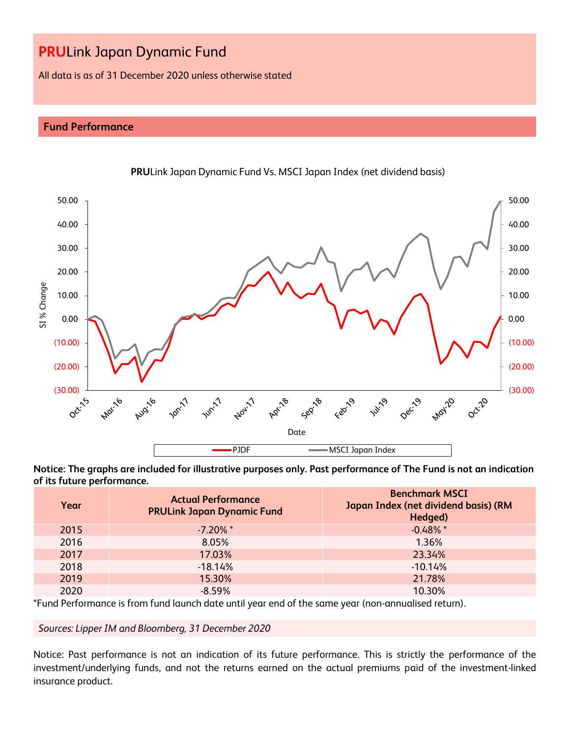All data is as of 31 December 2020 unless otherwise stated

### **Fund Performance**



**PRU**Link Japan Dynamic Fund Vs. MSCI Japan Index (net dividend basis)

**Notice: The graphs are included for illustrative purposes only. Past performance of The Fund is not an indication of its future performance.**

| Year | <b>Actual Performance</b><br><b>PRULink Japan Dynamic Fund</b> | <b>Benchmark MSCI</b><br>Japan Index (net dividend basis) (RM<br>Hedged) |
|------|----------------------------------------------------------------|--------------------------------------------------------------------------|
| 2015 | $-7.20\%$ *                                                    | $-0.48\%$ *                                                              |
| 2016 | 8.05%                                                          | 1.36%                                                                    |
| 2017 | 17.03%                                                         | 23.34%                                                                   |
| 2018 | $-18.14%$                                                      | $-10.14%$                                                                |
| 2019 | 15.30%                                                         | 21.78%                                                                   |
| 2020 | $-8.59\%$                                                      | 10.30%                                                                   |

\*Fund Performance is from fund launch date until year end of the same year (non-annualised return).

*Sources: Lipper IM and Bloomberg, 31 December 2020*

Notice: Past performance is not an indication of its future performance. This is strictly the performance of the investment/underlying funds, and not the returns earned on the actual premiums paid of the investment-linked insurance product.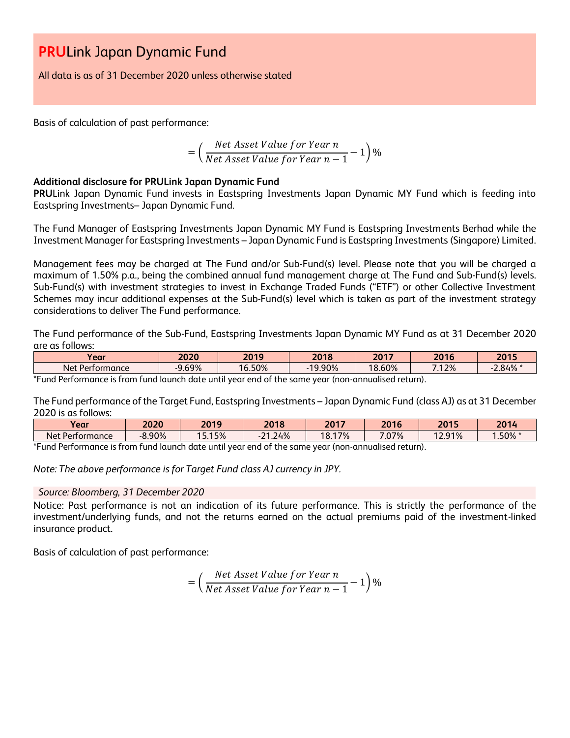All data is as of 31 December 2020 unless otherwise stated

Basis of calculation of past performance:

$$
= \left(\frac{Net\ Asset\ Value\ for\ Year\ n}{Net\ Asset\ Value\ for\ Year\ n-1} - 1\right)\%
$$

### **Additional disclosure for PRULink Japan Dynamic Fund**

**PRU**Link Japan Dynamic Fund invests in Eastspring Investments Japan Dynamic MY Fund which is feeding into Eastspring Investments– Japan Dynamic Fund.

The Fund Manager of Eastspring Investments Japan Dynamic MY Fund is Eastspring Investments Berhad while the Investment Manager for Eastspring Investments – Japan Dynamic Fund is Eastspring Investments (Singapore) Limited.

Management fees may be charged at The Fund and/or Sub-Fund(s) level. Please note that you will be charged a maximum of 1.50% p.a., being the combined annual fund management charge at The Fund and Sub-Fund(s) levels. Sub-Fund(s) with investment strategies to invest in Exchange Traded Funds ("ETF") or other Collective Investment Schemes may incur additional expenses at the Sub-Fund(s) level which is taken as part of the investment strategy considerations to deliver The Fund performance.

The Fund performance of the Sub-Fund, Eastspring Investments Japan Dynamic MY Fund as at 31 December 2020 are as follows:

| $\bullet$<br>Year                                       | 2020     | 2019   | 2018   | 2017         | 2016  | 2015  |
|---------------------------------------------------------|----------|--------|--------|--------------|-------|-------|
| $\overline{\phantom{a}}$<br><b>Net</b><br>: Pertormance | $0.69\%$ | 16.50% | 19.90% | 8.60%<br>1 O | 7.12% | 2.84% |
| $+$ $-$<br>.<br>. .                                     |          |        |        |              |       |       |

\*Fund Performance is from fund launch date until year end of the same year (non-annualised return).

The Fund performance of the Target Fund, Eastspring Investments – Japan Dynamic Fund (class AJ) as at 31 December 2020 is as follows:

| Year                               | 2020     | 2019  | 2018                  | 2017   | 2016 | 2015   | 2014   |
|------------------------------------|----------|-------|-----------------------|--------|------|--------|--------|
| <b>Net</b><br>Performance          | $-8.90%$ | 5.15% | 1.24%<br>$\mathbf{a}$ | 18.17% | .07% | 12.91% | .50% * |
| $\sim$<br>$\overline{\phantom{a}}$ |          | .     |                       |        |      |        |        |

\*Fund Performance is from fund launch date until year end of the same year (non-annualised return).

*Note: The above performance is for Target Fund class AJ currency in JPY.*

### *Source: Bloomberg, 31 December 2020*

Notice: Past performance is not an indication of its future performance. This is strictly the performance of the investment/underlying funds, and not the returns earned on the actual premiums paid of the investment-linked insurance product.

Basis of calculation of past performance:

$$
= \left(\frac{Net\ Asset\ Value\ for\ Year\ n}{Net\ Asset\ Value\ for\ Year\ n-1} - 1\right)\%
$$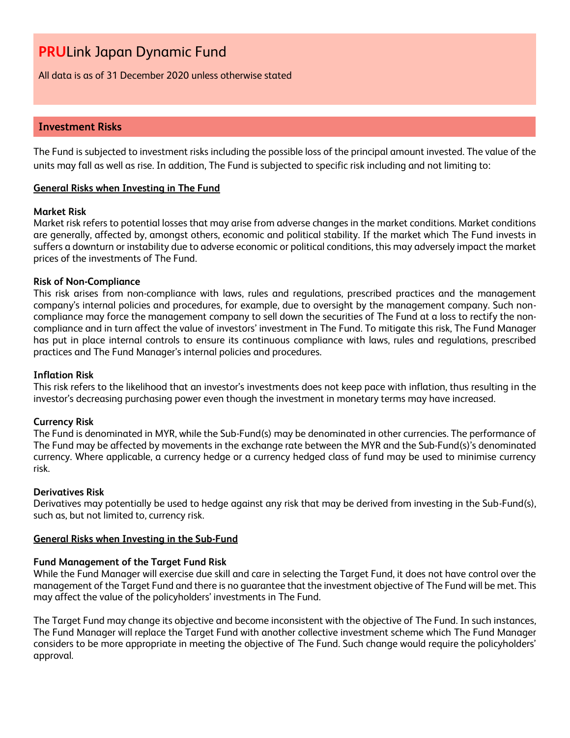All data is as of 31 December 2020 unless otherwise stated

### **Investment Risks**

The Fund is subjected to investment risks including the possible loss of the principal amount invested. The value of the units may fall as well as rise. In addition, The Fund is subjected to specific risk including and not limiting to:

### **General Risks when Investing in The Fund**

### **Market Risk**

Market risk refers to potential losses that may arise from adverse changes in the market conditions. Market conditions are generally, affected by, amongst others, economic and political stability. If the market which The Fund invests in suffers a downturn or instability due to adverse economic or political conditions, this may adversely impact the market prices of the investments of The Fund.

### **Risk of Non-Compliance**

This risk arises from non-compliance with laws, rules and regulations, prescribed practices and the management company's internal policies and procedures, for example, due to oversight by the management company. Such noncompliance may force the management company to sell down the securities of The Fund at a loss to rectify the noncompliance and in turn affect the value of investors' investment in The Fund. To mitigate this risk, The Fund Manager has put in place internal controls to ensure its continuous compliance with laws, rules and regulations, prescribed practices and The Fund Manager's internal policies and procedures.

### **Inflation Risk**

This risk refers to the likelihood that an investor's investments does not keep pace with inflation, thus resulting in the investor's decreasing purchasing power even though the investment in monetary terms may have increased.

### **Currency Risk**

The Fund is denominated in MYR, while the Sub-Fund(s) may be denominated in other currencies. The performance of The Fund may be affected by movements in the exchange rate between the MYR and the Sub-Fund(s)'s denominated currency. Where applicable, a currency hedge or a currency hedged class of fund may be used to minimise currency risk.

#### **Derivatives Risk**

Derivatives may potentially be used to hedge against any risk that may be derived from investing in the Sub-Fund(s), such as, but not limited to, currency risk.

#### **General Risks when Investing in the Sub-Fund**

### **Fund Management of the Target Fund Risk**

While the Fund Manager will exercise due skill and care in selecting the Target Fund, it does not have control over the management of the Target Fund and there is no guarantee that the investment objective of The Fund will be met. This may affect the value of the policyholders' investments in The Fund.

The Target Fund may change its objective and become inconsistent with the objective of The Fund. In such instances, The Fund Manager will replace the Target Fund with another collective investment scheme which The Fund Manager considers to be more appropriate in meeting the objective of The Fund. Such change would require the policyholders' approval.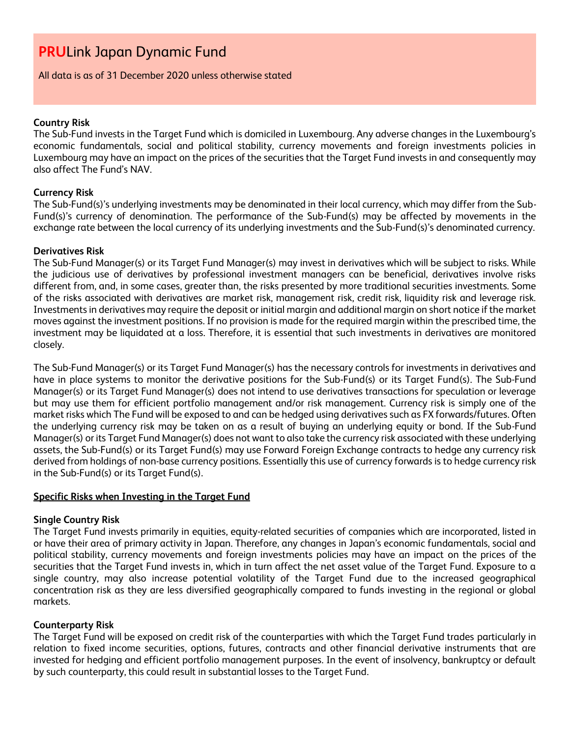All data is as of 31 December 2020 unless otherwise stated

### **Country Risk**

The Sub-Fund invests in the Target Fund which is domiciled in Luxembourg. Any adverse changes in the Luxembourg's economic fundamentals, social and political stability, currency movements and foreign investments policies in Luxembourg may have an impact on the prices of the securities that the Target Fund invests in and consequently may also affect The Fund's NAV.

### **Currency Risk**

The Sub-Fund(s)'s underlying investments may be denominated in their local currency, which may differ from the Sub-Fund(s)'s currency of denomination. The performance of the Sub-Fund(s) may be affected by movements in the exchange rate between the local currency of its underlying investments and the Sub-Fund(s)'s denominated currency.

### **Derivatives Risk**

The Sub-Fund Manager(s) or its Target Fund Manager(s) may invest in derivatives which will be subject to risks. While the judicious use of derivatives by professional investment managers can be beneficial, derivatives involve risks different from, and, in some cases, greater than, the risks presented by more traditional securities investments. Some of the risks associated with derivatives are market risk, management risk, credit risk, liquidity risk and leverage risk. Investments in derivatives may require the deposit or initial margin and additional margin on short notice if the market moves against the investment positions. If no provision is made for the required margin within the prescribed time, the investment may be liquidated at a loss. Therefore, it is essential that such investments in derivatives are monitored closely.

The Sub-Fund Manager(s) or its Target Fund Manager(s) has the necessary controls for investments in derivatives and have in place systems to monitor the derivative positions for the Sub-Fund(s) or its Target Fund(s). The Sub-Fund Manager(s) or its Target Fund Manager(s) does not intend to use derivatives transactions for speculation or leverage but may use them for efficient portfolio management and/or risk management. Currency risk is simply one of the market risks which The Fund will be exposed to and can be hedged using derivatives such as FX forwards/futures. Often the underlying currency risk may be taken on as a result of buying an underlying equity or bond. If the Sub-Fund Manager(s) or its Target Fund Manager(s) does not want to also take the currency risk associated with these underlying assets, the Sub-Fund(s) or its Target Fund(s) may use Forward Foreign Exchange contracts to hedge any currency risk derived from holdings of non-base currency positions. Essentially this use of currency forwards is to hedge currency risk in the Sub-Fund(s) or its Target Fund(s).

### **Specific Risks when Investing in the Target Fund**

### **Single Country Risk**

The Target Fund invests primarily in equities, equity-related securities of companies which are incorporated, listed in or have their area of primary activity in Japan. Therefore, any changes in Japan's economic fundamentals, social and political stability, currency movements and foreign investments policies may have an impact on the prices of the securities that the Target Fund invests in, which in turn affect the net asset value of the Target Fund. Exposure to a single country, may also increase potential volatility of the Target Fund due to the increased geographical concentration risk as they are less diversified geographically compared to funds investing in the regional or global markets.

### **Counterparty Risk**

The Target Fund will be exposed on credit risk of the counterparties with which the Target Fund trades particularly in relation to fixed income securities, options, futures, contracts and other financial derivative instruments that are invested for hedging and efficient portfolio management purposes. In the event of insolvency, bankruptcy or default by such counterparty, this could result in substantial losses to the Target Fund.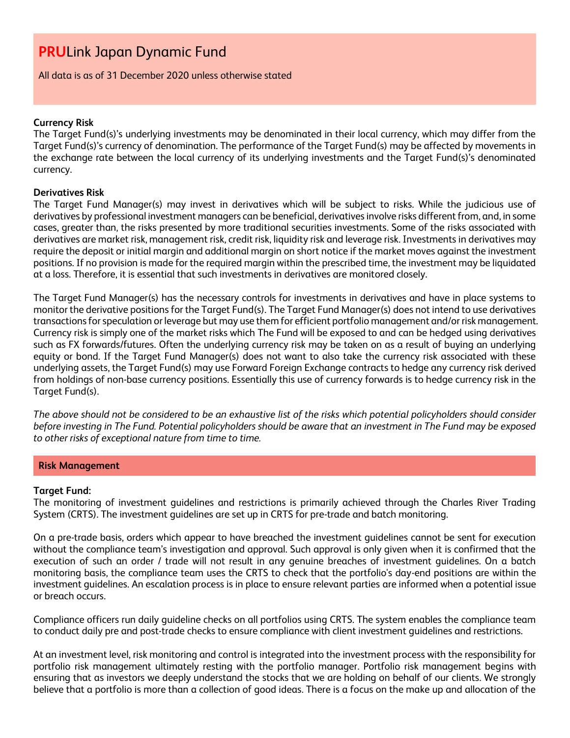All data is as of 31 December 2020 unless otherwise stated

### **Currency Risk**

The Target Fund(s)'s underlying investments may be denominated in their local currency, which may differ from the Target Fund(s)'s currency of denomination. The performance of the Target Fund(s) may be affected by movements in the exchange rate between the local currency of its underlying investments and the Target Fund(s)'s denominated currency.

### **Derivatives Risk**

The Target Fund Manager(s) may invest in derivatives which will be subject to risks. While the judicious use of derivatives by professional investment managers can be beneficial, derivatives involve risks different from, and, in some cases, greater than, the risks presented by more traditional securities investments. Some of the risks associated with derivatives are market risk, management risk, credit risk, liquidity risk and leverage risk. Investments in derivatives may require the deposit or initial margin and additional margin on short notice if the market moves against the investment positions. If no provision is made for the required margin within the prescribed time, the investment may be liquidated at a loss. Therefore, it is essential that such investments in derivatives are monitored closely.

The Target Fund Manager(s) has the necessary controls for investments in derivatives and have in place systems to monitor the derivative positions for the Target Fund(s). The Target Fund Manager(s) does not intend to use derivatives transactions for speculation or leverage but may use them for efficient portfolio management and/or risk management. Currency risk is simply one of the market risks which The Fund will be exposed to and can be hedged using derivatives such as FX forwards/futures. Often the underlying currency risk may be taken on as a result of buying an underlying equity or bond. If the Target Fund Manager(s) does not want to also take the currency risk associated with these underlying assets, the Target Fund(s) may use Forward Foreign Exchange contracts to hedge any currency risk derived from holdings of non-base currency positions. Essentially this use of currency forwards is to hedge currency risk in the Target Fund(s).

*The above should not be considered to be an exhaustive list of the risks which potential policyholders should consider before investing in The Fund. Potential policyholders should be aware that an investment in The Fund may be exposed to other risks of exceptional nature from time to time.*

### **Risk Management**

### **Target Fund:**

The monitoring of investment guidelines and restrictions is primarily achieved through the Charles River Trading System (CRTS). The investment guidelines are set up in CRTS for pre-trade and batch monitoring.

On a pre-trade basis, orders which appear to have breached the investment guidelines cannot be sent for execution without the compliance team's investigation and approval. Such approval is only given when it is confirmed that the execution of such an order / trade will not result in any genuine breaches of investment guidelines. On a batch monitoring basis, the compliance team uses the CRTS to check that the portfolio's day-end positions are within the investment guidelines. An escalation process is in place to ensure relevant parties are informed when a potential issue or breach occurs.

Compliance officers run daily guideline checks on all portfolios using CRTS. The system enables the compliance team to conduct daily pre and post-trade checks to ensure compliance with client investment guidelines and restrictions.

At an investment level, risk monitoring and control is integrated into the investment process with the responsibility for portfolio risk management ultimately resting with the portfolio manager. Portfolio risk management begins with ensuring that as investors we deeply understand the stocks that we are holding on behalf of our clients. We strongly believe that a portfolio is more than a collection of good ideas. There is a focus on the make up and allocation of the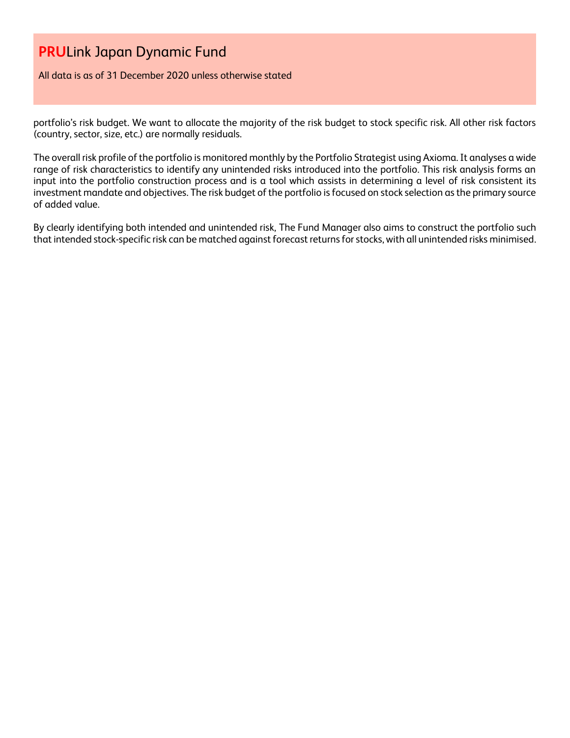All data is as of 31 December 2020 unless otherwise stated

portfolio's risk budget. We want to allocate the majority of the risk budget to stock specific risk. All other risk factors (country, sector, size, etc.) are normally residuals.

The overall risk profile of the portfolio is monitored monthly by the Portfolio Strategist using Axioma. It analyses a wide range of risk characteristics to identify any unintended risks introduced into the portfolio. This risk analysis forms an input into the portfolio construction process and is a tool which assists in determining a level of risk consistent its investment mandate and objectives. The risk budget of the portfolio is focused on stock selection as the primary source of added value.

By clearly identifying both intended and unintended risk, The Fund Manager also aims to construct the portfolio such that intended stock-specific risk can be matched against forecast returns for stocks, with all unintended risks minimised.